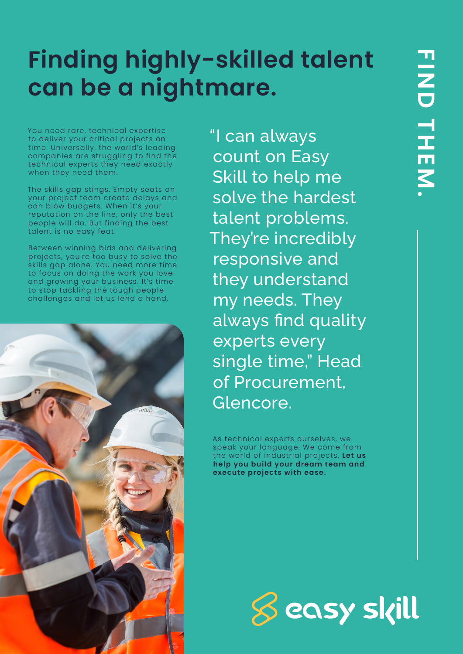# **Finding highly-skilled talent can be a nightmare.**

You need rare, technical expertise to deliver your critical projects on time. Universally, the world's leading companies are struggling to find the technical experts they need exactly when they need them.

The skills gap stings. Empty seats on your project team create delays and can blow budgets. When it's your reputation on the line, only the best people will do. But finding the best talent is no easy feat.

Between winning bids and delivering projects, you're too busy to solve the skills gap alone. You need more time to focus on doing the work you love and growing your business. It's time to stop tackling the tough people challenges and let us lend a hand.



"I can always count on Easy Skill to help me solve the hardest talent problems. They're incredibly responsive and they understand my needs. They always find quality experts every single time," Head of Procurement, Glencore.

As technical experts ourselves, we speak your language. We come from the world of industrial projects. **Let us help you build your dream team and execute projects with ease.**